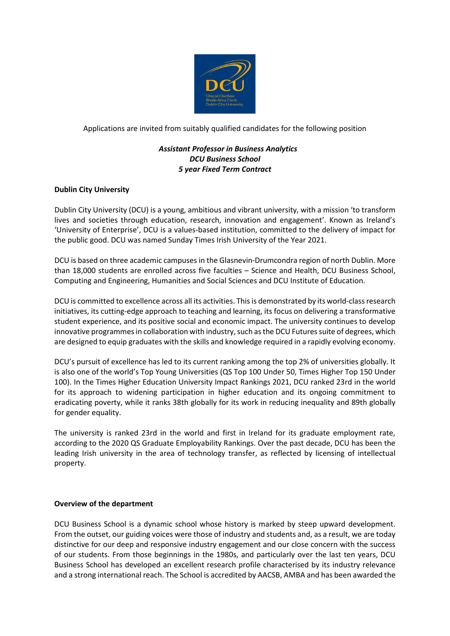

Applications are invited from suitably qualified candidates for the following position

# *Assistant Professor in Business Analytics DCU Business School 5 year Fixed Term Contract*

# **Dublin City University**

Dublin City University (DCU) is a young, ambitious and vibrant university, with a mission 'to transform lives and societies through education, research, innovation and engagement'. Known as Ireland's 'University of Enterprise', DCU is a values-based institution, committed to the delivery of impact for the public good. DCU was named Sunday Times Irish University of the Year 2021.

DCU is based on three academic campuses in the Glasnevin-Drumcondra region of north Dublin. More than 18,000 students are enrolled across five faculties – Science and Health, DCU Business School, Computing and Engineering, Humanities and Social Sciences and DCU Institute of Education.

DCU is committed to excellence across all its activities. This is demonstrated by its world-class research initiatives, its cutting-edge approach to teaching and learning, its focus on delivering a transformative student experience, and its positive social and economic impact. The university continues to develop innovative programmes in collaboration with industry, such as the DCU Futures suite of degrees, which are designed to equip graduates with the skills and knowledge required in a rapidly evolving economy.

DCU's pursuit of excellence has led to its current ranking among the top 2% of universities globally. It is also one of the world's Top Young Universities (QS Top 100 Under 50, Times Higher Top 150 Under 100). In the Times Higher Education University Impact Rankings 2021, DCU ranked 23rd in the world for its approach to widening participation in higher education and its ongoing commitment to eradicating poverty, while it ranks 38th globally for its work in reducing inequality and 89th globally for gender equality.

The university is ranked 23rd in the world and first in Ireland for its graduate employment rate, according to the 2020 QS Graduate Employability Rankings. Over the past decade, DCU has been the leading Irish university in the area of technology transfer, as reflected by licensing of intellectual property.

# **Overview of the department**

DCU Business School is a dynamic school whose history is marked by steep upward development. From the outset, our guiding voices were those of industry and students and, as a result, we are today distinctive for our deep and responsive industry engagement and our close concern with the success of our students. From those beginnings in the 1980s, and particularly over the last ten years, DCU Business School has developed an excellent research profile characterised by its industry relevance and a strong international reach. The School is accredited by AACSB, AMBA and has been awarded the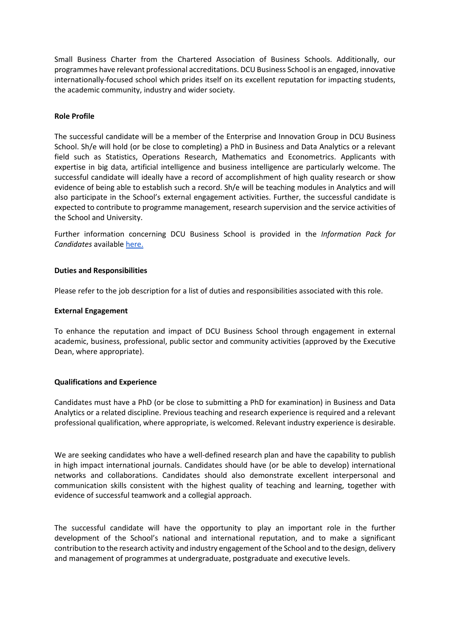Small Business Charter from the Chartered Association of Business Schools. Additionally, our programmes have relevant professional accreditations. DCU Business School is an engaged, innovative internationally-focused school which prides itself on its excellent reputation for impacting students, the academic community, industry and wider society.

# **Role Profile**

The successful candidate will be a member of the Enterprise and Innovation Group in DCU Business School. Sh/e will hold (or be close to completing) a PhD in Business and Data Analytics or a relevant field such as Statistics, Operations Research, Mathematics and Econometrics. Applicants with expertise in big data, artificial intelligence and business intelligence are particularly welcome. The successful candidate will ideally have a record of accomplishment of high quality research or show evidence of being able to establish such a record. Sh/e will be teaching modules in Analytics and will also participate in the School's external engagement activities. Further, the successful candidate is expected to contribute to programme management, research supervision and the service activities of the School and University.

Further information concerning DCU Business School is provided in the *Information Pack for Candidates* available [here.](https://business.dcu.ie/wp-content/uploads/2021/02/Recruitment-Brochure-2021-option-B.pdf)

### **Duties and Responsibilities**

Please refer to the job description for a list of duties and responsibilities associated with this role.

### **External Engagement**

To enhance the reputation and impact of DCU Business School through engagement in external academic, business, professional, public sector and community activities (approved by the Executive Dean, where appropriate).

# **Qualifications and Experience**

Candidates must have a PhD (or be close to submitting a PhD for examination) in Business and Data Analytics or a related discipline. Previous teaching and research experience is required and a relevant professional qualification, where appropriate, is welcomed. Relevant industry experience is desirable.

We are seeking candidates who have a well-defined research plan and have the capability to publish in high impact international journals. Candidates should have (or be able to develop) international networks and collaborations. Candidates should also demonstrate excellent interpersonal and communication skills consistent with the highest quality of teaching and learning, together with evidence of successful teamwork and a collegial approach.

The successful candidate will have the opportunity to play an important role in the further development of the School's national and international reputation, and to make a significant contribution to the research activity and industry engagement of the School and to the design, delivery and management of programmes at undergraduate, postgraduate and executive levels.